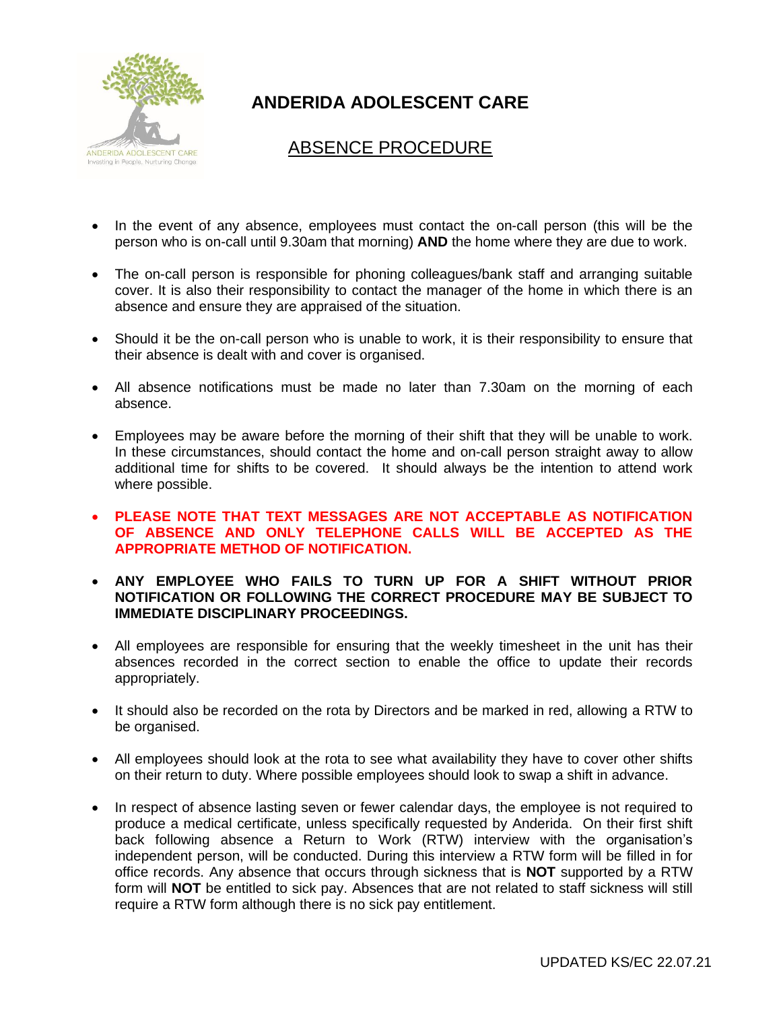

# **ANDERIDA ADOLESCENT CARE**

## ABSENCE PROCEDURE

- In the event of any absence, employees must contact the on-call person (this will be the person who is on-call until 9.30am that morning) **AND** the home where they are due to work.
- The on-call person is responsible for phoning colleagues/bank staff and arranging suitable cover. It is also their responsibility to contact the manager of the home in which there is an absence and ensure they are appraised of the situation.
- Should it be the on-call person who is unable to work, it is their responsibility to ensure that their absence is dealt with and cover is organised.
- All absence notifications must be made no later than 7.30am on the morning of each absence.
- Employees may be aware before the morning of their shift that they will be unable to work. In these circumstances, should contact the home and on-call person straight away to allow additional time for shifts to be covered. It should always be the intention to attend work where possible.
- **PLEASE NOTE THAT TEXT MESSAGES ARE NOT ACCEPTABLE AS NOTIFICATION OF ABSENCE AND ONLY TELEPHONE CALLS WILL BE ACCEPTED AS THE APPROPRIATE METHOD OF NOTIFICATION.**
- **ANY EMPLOYEE WHO FAILS TO TURN UP FOR A SHIFT WITHOUT PRIOR NOTIFICATION OR FOLLOWING THE CORRECT PROCEDURE MAY BE SUBJECT TO IMMEDIATE DISCIPLINARY PROCEEDINGS.**
- All employees are responsible for ensuring that the weekly timesheet in the unit has their absences recorded in the correct section to enable the office to update their records appropriately.
- It should also be recorded on the rota by Directors and be marked in red, allowing a RTW to be organised.
- All employees should look at the rota to see what availability they have to cover other shifts on their return to duty. Where possible employees should look to swap a shift in advance.
- In respect of absence lasting seven or fewer calendar days, the employee is not required to produce a medical certificate, unless specifically requested by Anderida. On their first shift back following absence a Return to Work (RTW) interview with the organisation's independent person, will be conducted. During this interview a RTW form will be filled in for office records. Any absence that occurs through sickness that is **NOT** supported by a RTW form will **NOT** be entitled to sick pay. Absences that are not related to staff sickness will still require a RTW form although there is no sick pay entitlement.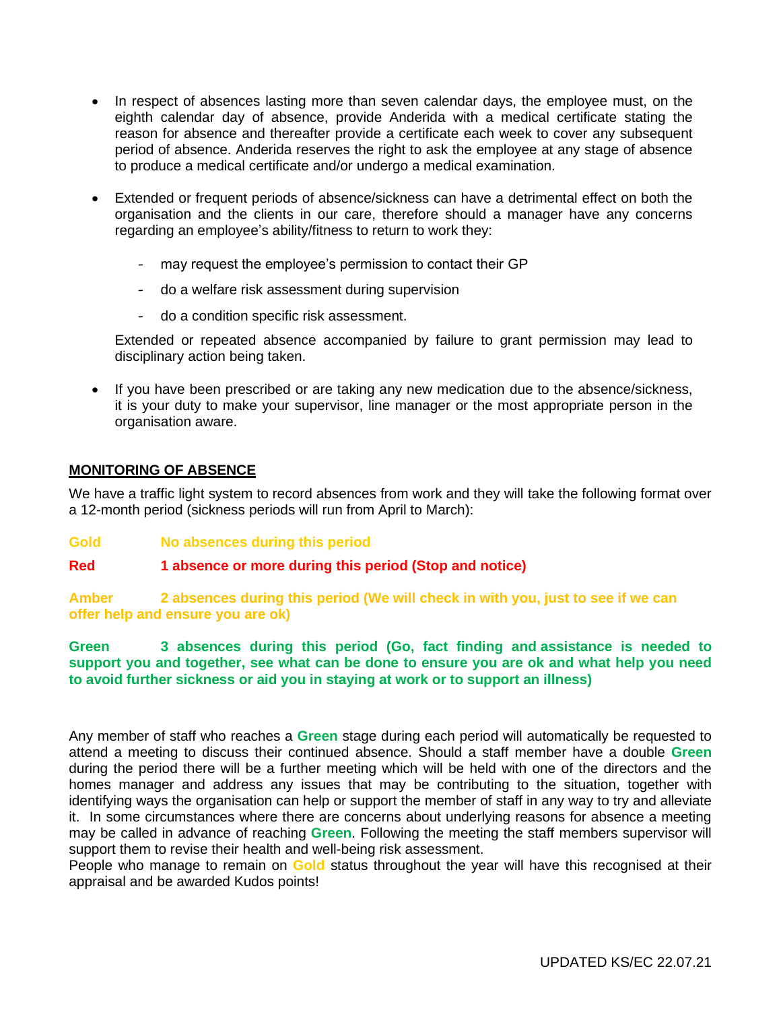- In respect of absences lasting more than seven calendar days, the employee must, on the eighth calendar day of absence, provide Anderida with a medical certificate stating the reason for absence and thereafter provide a certificate each week to cover any subsequent period of absence. Anderida reserves the right to ask the employee at any stage of absence to produce a medical certificate and/or undergo a medical examination.
- Extended or frequent periods of absence/sickness can have a detrimental effect on both the organisation and the clients in our care, therefore should a manager have any concerns regarding an employee's ability/fitness to return to work they:
	- may request the employee's permission to contact their GP
	- do a welfare risk assessment during supervision
	- do a condition specific risk assessment.

Extended or repeated absence accompanied by failure to grant permission may lead to disciplinary action being taken.

• If you have been prescribed or are taking any new medication due to the absence/sickness, it is your duty to make your supervisor, line manager or the most appropriate person in the organisation aware.

### **MONITORING OF ABSENCE**

We have a traffic light system to record absences from work and they will take the following format over a 12-month period (sickness periods will run from April to March):

**Gold No absences during this period**

#### **Red 1 absence or more during this period (Stop and notice)**

**Amber 2 absences during this period (We will check in with you, just to see if we can offer help and ensure you are ok)**

**Green 3 absences during this period (Go, fact finding and assistance is needed to support you and together, see what can be done to ensure you are ok and what help you need to avoid further sickness or aid you in staying at work or to support an illness)**

Any member of staff who reaches a **Green** stage during each period will automatically be requested to attend a meeting to discuss their continued absence. Should a staff member have a double **Green** during the period there will be a further meeting which will be held with one of the directors and the homes manager and address any issues that may be contributing to the situation, together with identifying ways the organisation can help or support the member of staff in any way to try and alleviate it. In some circumstances where there are concerns about underlying reasons for absence a meeting may be called in advance of reaching **Green**. Following the meeting the staff members supervisor will support them to revise their health and well-being risk assessment.

People who manage to remain on **Gold** status throughout the year will have this recognised at their appraisal and be awarded Kudos points!